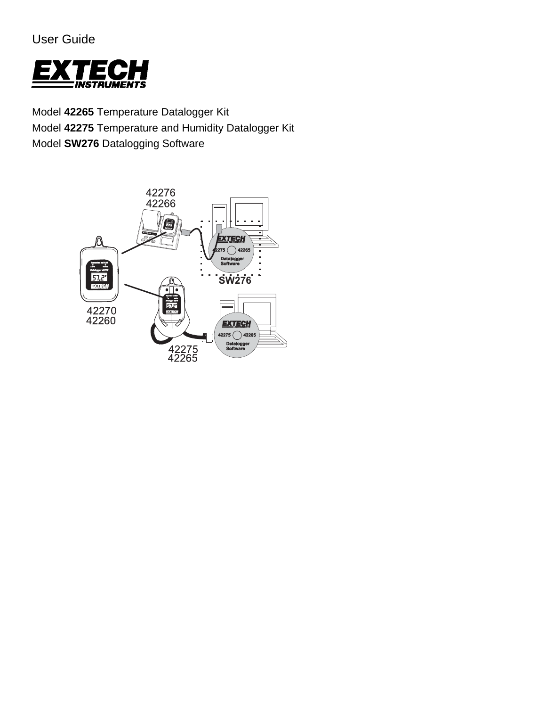User Guide



Model **42265** Temperature Datalogger Kit Model **42275** Temperature and Humidity Datalogger Kit Model **SW276** Datalogging Software

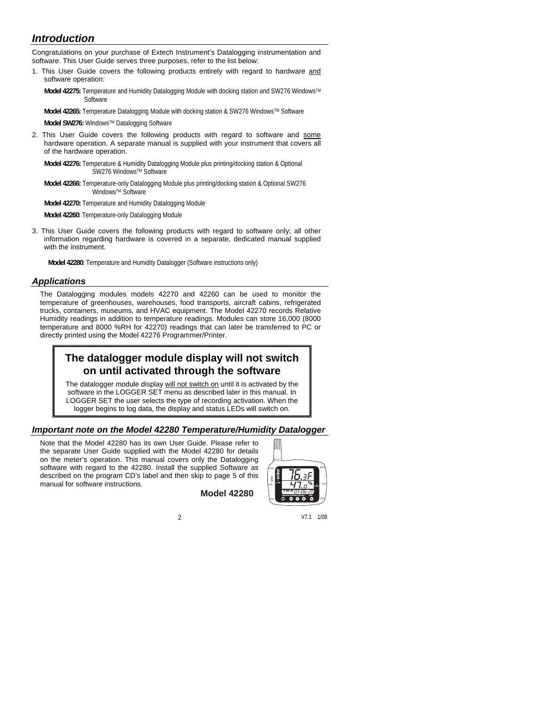# *Introduction*

Congratulations on your purchase of Extech Instrument's Datalogging instrumentation and software. This User Guide serves three purposes, refer to the list below:

1. This User Guide covers the following products entirely with regard to hardware and software operation:

**Model 42275:** Temperature and Humidity Datalogging Module with docking station and SW276 WindowsTM **Software** 

Model 42265: Temperature Datalogging Module with docking station & SW276 Windows™ Software

**Model SW276:** WindowsTM Datalogging Software

2. This User Guide covers the following products with regard to software and some hardware operation. A separate manual is supplied with your instrument that covers all of the hardware operation.

**Model 42276:** Temperature & Humidity Datalogging Module plus printing/docking station & Optional SW276 Windows™ Software

**Model 42266:** Temperature-only Datalogging Module plus printing/docking station & Optional SW276 WindowsTM Software

**Model 42270:** Temperature and Humidity Datalogging Module

**Model 42260**: Temperature-only Datalogging Module

3. This User Guide covers the following products with regard to software only; all other information regarding hardware is covered in a separate, dedicated manual supplied with the instrument.

**Model 42280**: Temperature and Humidity Datalogger (Software instructions only)

### *Applications*

The Datalogging modules models 42270 and 42260 can be used to monitor the temperature of greenhouses, warehouses, food transports, aircraft cabins, refrigerated trucks, containers, museums, and HVAC equipment. The Model 42270 records Relative Humidity readings in addition to temperature readings. Modules can store 16,000 (8000 temperature and 8000 %RH for 42270) readings that can later be transferred to PC or directly printed using the Model 42276 Programmer/Printer.

# **The datalogger module display will not switch on until activated through the software**

The datalogger module display will not switch on until it is activated by the software in the LOGGER SET menu as described later in this manual. In LOGGER SET the user selects the type of recording activation. When the logger begins to log data, the display and status LEDs will switch on.

### *Important note on the Model 42280 Temperature/Humidity Datalogger*

Note that the Model 42280 has its own User Guide. Please refer to the separate User Guide supplied with the Model 42280 for details on the meter's operation. This manual covers only the Datalogging software with regard to the 42280. Install the supplied Software as described on the program CD's label and then skip to page 5 of this manual for software instructions.

**Model 42280** 

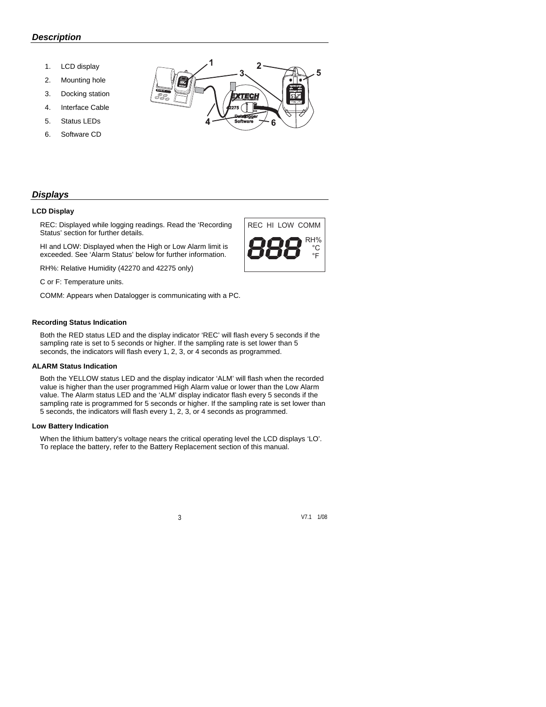### *Description*

- 1. LCD display
- 2. Mounting hole
- 3. Docking station
- 4. Interface Cable
- 5. Status LEDs
- 6. Software CD



REC HI LOW COMM

RH% °C °F

## *Displays*

#### **LCD Display**

REC: Displayed while logging readings. Read the 'Recording Status' section for further details.

HI and LOW: Displayed when the High or Low Alarm limit is exceeded. See 'Alarm Status' below for further information.

RH%: Relative Humidity (42270 and 42275 only)

C or F: Temperature units.

COMM: Appears when Datalogger is communicating with a PC.

#### **Recording Status Indication**

Both the RED status LED and the display indicator 'REC' will flash every 5 seconds if the sampling rate is set to 5 seconds or higher. If the sampling rate is set lower than 5 seconds, the indicators will flash every 1, 2, 3, or 4 seconds as programmed.

#### **ALARM Status Indication**

Both the YELLOW status LED and the display indicator 'ALM' will flash when the recorded value is higher than the user programmed High Alarm value or lower than the Low Alarm value. The Alarm status LED and the 'ALM' display indicator flash every 5 seconds if the sampling rate is programmed for 5 seconds or higher. If the sampling rate is set lower than 5 seconds, the indicators will flash every 1, 2, 3, or 4 seconds as programmed.

#### **Low Battery Indication**

When the lithium battery's voltage nears the critical operating level the LCD displays 'LO'. To replace the battery, refer to the Battery Replacement section of this manual.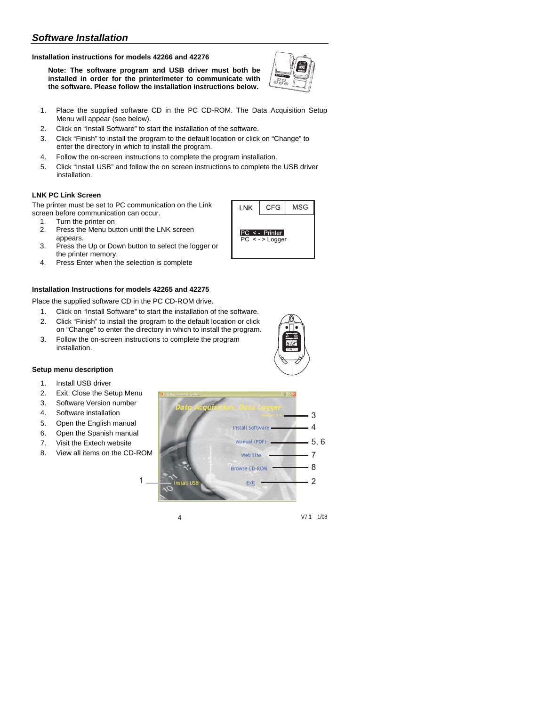## *Software Installation*

#### **Installation instructions for models 42266 and 42276**

**Note: The software program and USB driver must both be installed in order for the printer/meter to communicate with the software. Please follow the installation instructions below.** 



**CFG** 

PC <- Printer  $PC < -$  > Logger

LNK

**MSG** 

- 1. Place the supplied software CD in the PC CD-ROM. The Data Acquisition Setup Menu will appear (see below).
- 2. Click on "Install Software" to start the installation of the software.
- 3. Click "Finish" to install the program to the default location or click on "Change" to enter the directory in which to install the program.
- 4. Follow the on-screen instructions to complete the program installation.
- 5. Click "Install USB" and follow the on screen instructions to complete the USB driver installation.

#### **LNK PC Link Screen**

The printer must be set to PC communication on the Link screen before communication can occur.

- 1. Turn the printer on
- 2. Press the Menu button until the LNK screen appears.
- 3. Press the Up or Down button to select the logger or the printer memory.
- 4. Press Enter when the selection is complete

#### **Installation Instructions for models 42265 and 42275**

Place the supplied software CD in the PC CD-ROM drive.

- 1. Click on "Install Software" to start the installation of the software.
- 2. Click "Finish" to install the program to the default location or click on "Change" to enter the directory in which to install the program.
- 3. Follow the on-screen instructions to complete the program installation.

#### **Setup menu description**

- 1. Install USB driver
- 2. Exit: Close the Setup Menu
- 3. Software Version number
- 4. Software installation
- 5. Open the English manual
- 6. Open the Spanish manual
- 7. Visit the Extech website
- 8. View all items on the CD-ROM



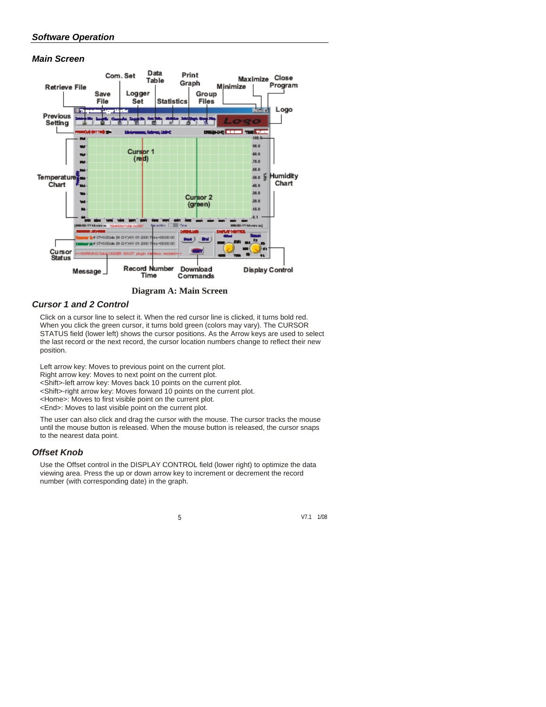## *Software Operation*

### *Main Screen*



**Diagram A: Main Screen**

## *Cursor 1 and 2 Control*

Click on a cursor line to select it. When the red cursor line is clicked, it turns bold red. When you click the green cursor, it turns bold green (colors may vary). The CURSOR STATUS field (lower left) shows the cursor positions. As the Arrow keys are used to select the last record or the next record, the cursor location numbers change to reflect their new position.

Left arrow key: Moves to previous point on the current plot. Right arrow key: Moves to next point on the current plot.

<Shift>-left arrow key: Moves back 10 points on the current plot.

<Shift>-right arrow key: Moves forward 10 points on the current plot.

<Home>: Moves to first visible point on the current plot.

<End>: Moves to last visible point on the current plot.

The user can also click and drag the cursor with the mouse. The cursor tracks the mouse until the mouse button is released. When the mouse button is released, the cursor snaps to the nearest data point.

#### *Offset Knob*

Use the Offset control in the DISPLAY CONTROL field (lower right) to optimize the data viewing area. Press the up or down arrow key to increment or decrement the record number (with corresponding date) in the graph.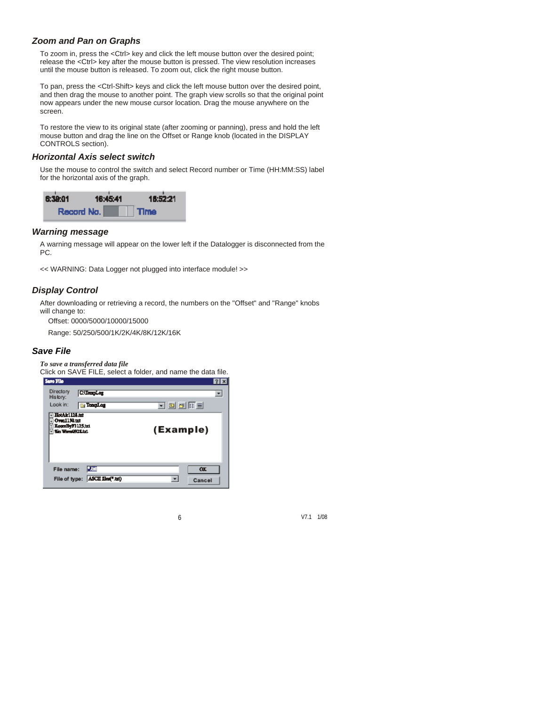## *Zoom and Pan on Graphs*

To zoom in, press the <Ctrl> key and click the left mouse button over the desired point; release the <Ctrl> key after the mouse button is pressed. The view resolution increases until the mouse button is released. To zoom out, click the right mouse button.

To pan, press the <Ctrl-Shift> keys and click the left mouse button over the desired point, and then drag the mouse to another point. The graph view scrolls so that the original point now appears under the new mouse cursor location. Drag the mouse anywhere on the screen.

To restore the view to its original state (after zooming or panning), press and hold the left mouse button and drag the line on the Offset or Range knob (located in the DISPLAY CONTROLS section).

### *Horizontal Axis select switch*

Use the mouse to control the switch and select Record number or Time (HH:MM:SS) label for the horizontal axis of the graph.



### *Warning message*

A warning message will appear on the lower left if the Datalogger is disconnected from the PC.

<< WARNING: Data Logger not plugged into interface module! >>

## *Display Control*

After downloading or retrieving a record, the numbers on the "Offset" and "Range" knobs will change to:

Offset: 0000/5000/10000/15000

Range: 50/250/500/1K/2K/4K/8K/12K/16K

### *Save File*

*To save a transferred data file* 

|  |  |  | Click on SAVE FILE, select a folder, and name the data file. |  |  |     |
|--|--|--|--------------------------------------------------------------|--|--|-----|
|  |  |  |                                                              |  |  | ___ |

| Sarro Fillo                                                                        |                    | 2 x       |
|------------------------------------------------------------------------------------|--------------------|-----------|
| Directory<br>History:                                                              | <b>C</b> . Temples |           |
| Look in:                                                                           | <b>S</b> Temploy   | 可回び屈曲     |
| <b>HotAir1124.tm</b><br>Over1130.txt<br>RoomByF125.x1<br><b>Sin Warn 092 E.txt</b> |                    | (Example) |
| File name:                                                                         | 2,50               | <b>OK</b> |
| File of type:                                                                      | ASCII files(" tat) | Cancel    |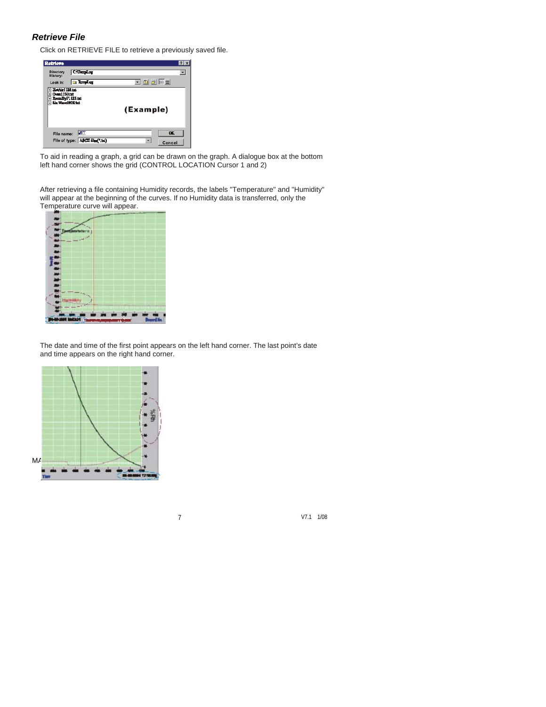### *Retrieve File*

Click on RETRIEVE FILE to retrieve a previously saved file.

| Retrieve                                                              |                                  |           | 7x                       |
|-----------------------------------------------------------------------|----------------------------------|-----------|--------------------------|
| <b>D</b> irectory<br>History:                                         | C: TempLog                       |           | $\overline{\phantom{a}}$ |
| Look In:                                                              | <b>Exception</b>                 | 可回向雨量     |                          |
| HotAirl128.tzt<br>Over1130.txt<br>RoomByF1125.txt<br>Sin WaseD928.tet |                                  | (Example) |                          |
| File name:                                                            | <b>Mar</b>                       |           | <b>DE</b>                |
|                                                                       | File of type: ASCII files(",txt) |           | Cancel                   |

To aid in reading a graph, a grid can be drawn on the graph. A dialogue box at the bottom left hand corner shows the grid (CONTROL LOCATION Cursor 1 and 2)

After retrieving a file containing Humidity records, the labels "Temperature" and "Humidity" will appear at the beginning of the curves. If no Humidity data is transferred, only the Temperature curve will appear.



The date and time of the first point appears on the left hand corner. The last point's date and time appears on the right hand corner.

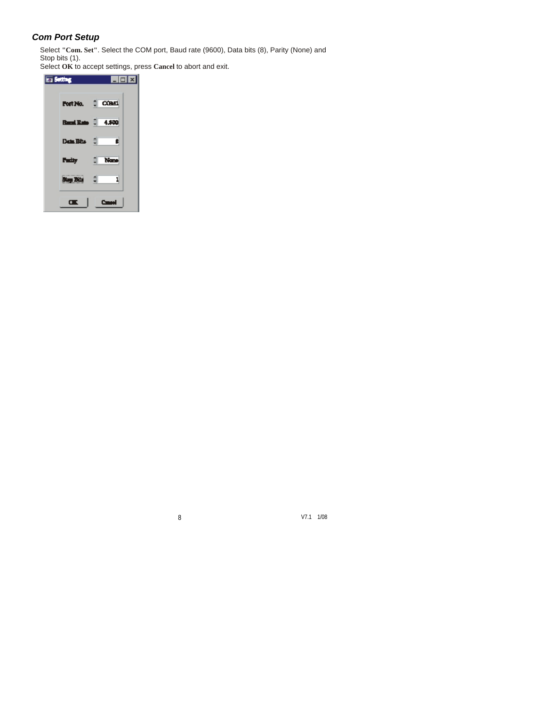## *Com Port Setup*

Select **"Com. Set"**. Select the COM port, Baud rate (9600), Data bits (8), Parity (None) and Stop bits (1).

Select **OK** to accept settings, press **Cancel** to abort and exit.

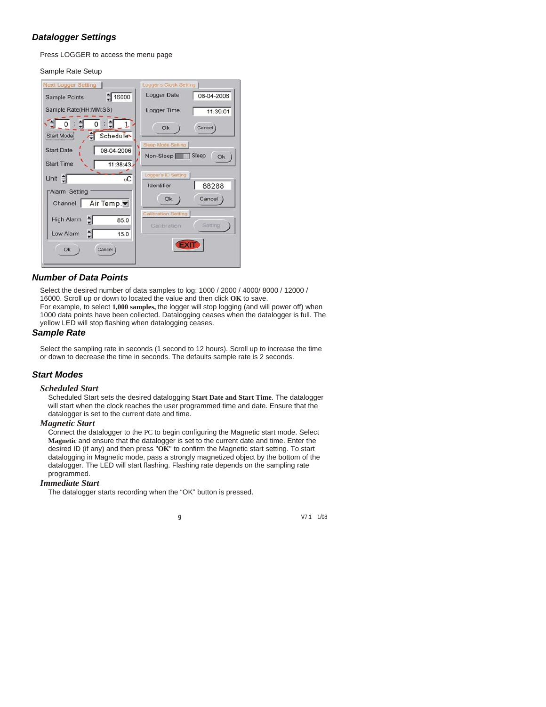## *Datalogger Settings*

Press LOGGER to access the menu page

#### Sample Rate Setup

| <b>Next Logger Setting</b>                               | Logger's Clock Setting           |
|----------------------------------------------------------|----------------------------------|
| $\frac{4}{7}$ 16000<br><b>Sample Points</b>              | <b>Logger Date</b><br>08-04-2006 |
| Sample Rate(HH:MM:SS)                                    | Logger Time<br>11:39:01          |
| ₿<br>e<br>$\circ$<br>Schedule <sup>-</sup><br>Start Mode | Ok<br>Cancel                     |
| <b>Start Date</b><br>08-04-2006                          | <b>Sleep Mode Setting</b>        |
|                                                          | Sleep<br>Non-Sleep<br>Ok         |
| <b>Start Time</b><br>11:38:43                            |                                  |
| Unit :<br>$_{\rm oC}$                                    | Logger's ID Setting              |
| <b>Alarm Setting</b>                                     | 88288<br>Identifier              |
| Air Temp.▼<br>Channel                                    | Ok<br>Cancel                     |
|                                                          | <b>Calibration Setting</b>       |
| 췌<br>High Alarm<br>85.0                                  | Setting<br>Calibration           |
| $\frac{1}{2}$<br>Low Alarm<br>15.0                       |                                  |
| Ok<br>Cancel                                             |                                  |

### *Number of Data Points*

Select the desired number of data samples to log: 1000 / 2000 / 4000/ 8000 / 12000 / 16000. Scroll up or down to located the value and then click **OK** to save. For example, to select **1,000 samples,** the logger will stop logging (and will power off) when 1000 data points have been collected. Datalogging ceases when the datalogger is full. The yellow LED will stop flashing when datalogging ceases.

### *Sample Rate*

Select the sampling rate in seconds (1 second to 12 hours). Scroll up to increase the time or down to decrease the time in seconds. The defaults sample rate is 2 seconds.

### *Start Modes*

#### *Scheduled Start*

Scheduled Start sets the desired datalogging **Start Date and Start Time**. The datalogger will start when the clock reaches the user programmed time and date. Ensure that the datalogger is set to the current date and time.

#### *Magnetic Start*

Connect the datalogger to the PC to begin configuring the Magnetic start mode. Select **Magnetic** and ensure that the datalogger is set to the current date and time. Enter the desired ID (if any) and then press "**OK**" to confirm the Magnetic start setting. To start datalogging in Magnetic mode, pass a strongly magnetized object by the bottom of the datalogger. The LED will start flashing. Flashing rate depends on the sampling rate programmed.

#### *Immediate Start*

The datalogger starts recording when the "OK" button is pressed.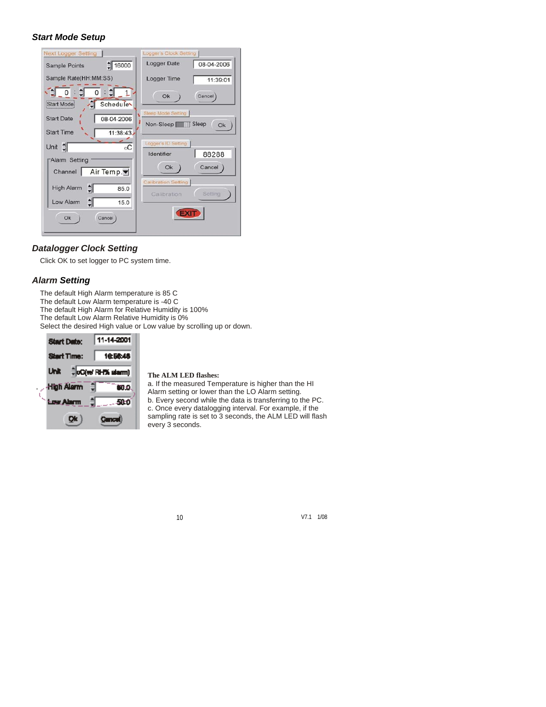### *Start Mode Setup*

| <b>Next Logger Setting</b>              | Logger's Clock Setting                               |
|-----------------------------------------|------------------------------------------------------|
| $\frac{1}{2}$ 16000<br>Sample Points    | <b>Logger Date</b><br>08-04-2006                     |
| Sample Rate(HH:MM:SS)                   | Logger Time<br>11:39:01                              |
| €<br>0<br>Schedule<br><b>Start Mode</b> | Cancel<br>Ok                                         |
| <b>Start Date</b><br>08-04-2006         | <b>Sleep Mode Setting</b>                            |
|                                         | Sleep<br>Non-Sleep<br>Ok                             |
| <b>Start Time</b><br>11:38:43           |                                                      |
| Unit $\frac{4}{3}$<br>$_{\rm oC}$       | Logger's ID Setting                                  |
|                                         | 88288<br>Identifier                                  |
| "Alarm Setting                          | Cancel<br>Ok                                         |
| Air Temp.▼<br>Channel                   |                                                      |
| 췌<br><b>High Alarm</b><br>85.0          | <b>Calibration Setting</b><br>Setting<br>Calibration |
| $\frac{1}{2}$<br>Low Alarm<br>15.0      |                                                      |
| Ok<br>Cancel                            |                                                      |

### *Datalogger Clock Setting*

Click OK to set logger to PC system time.

### *Alarm Setting*

The default High Alarm temperature is 85 C The default Low Alarm temperature is -40 C The default High Alarm for Relative Humidity is 100% The default Low Alarm Relative Humidity is 0% Select the desired High value or Low value by scrolling up or down.



#### **The ALM LED flashes:**

a. If the measured Temperature is higher than the HI Alarm setting or lower than the LO Alarm setting. b. Every second while the data is transferring to the PC. c. Once every datalogging interval. For example, if the sampling rate is set to 3 seconds, the ALM LED will flash every 3 seconds.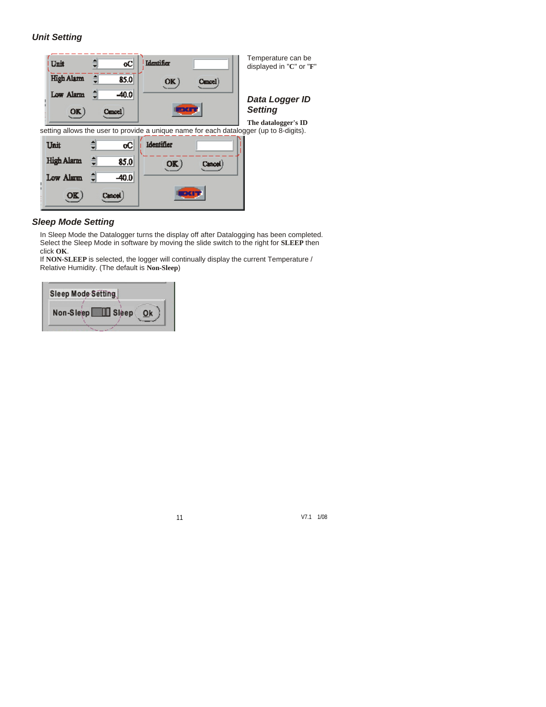## *Unit Setting*



### *Sleep Mode Setting*

In Sleep Mode the Datalogger turns the display off after Datalogging has been completed. Select the Sleep Mode in software by moving the slide switch to the right for **SLEEP** then click **OK**.

If **NON-SLEEP** is selected, the logger will continually display the current Temperature / Relative Humidity. (The default is **Non-Sleep**)

| Sleep Mode Setting |         |
|--------------------|---------|
| Non-Sleep          | ∐ Sleep |
|                    |         |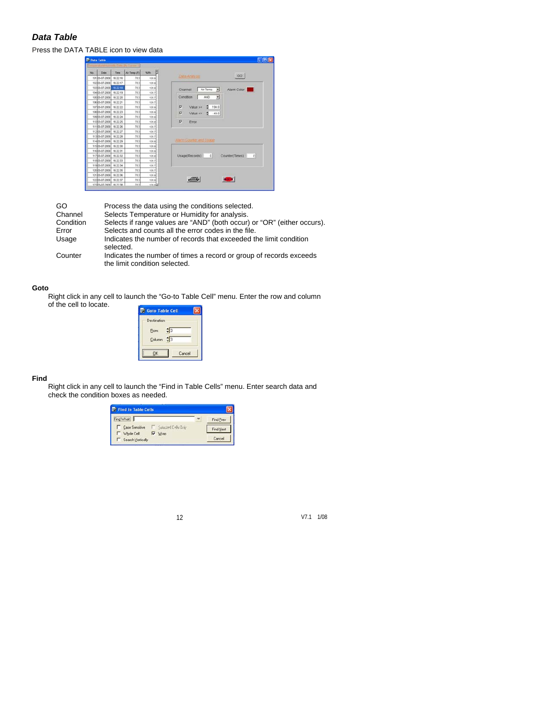## *Data Table*

### Press the DATA TABLE icon to view data

| 741 | Date                    | Time | Air Temp (F) | NAH          |                                                               |                            |
|-----|-------------------------|------|--------------|--------------|---------------------------------------------------------------|----------------------------|
|     | 10103-07-2009 16:22:16  |      | 78.3         | 126.9        | Data Analyses                                                 | GO                         |
|     | 10203-07-2009 16:22:17  |      | 70.3         | 136.9        |                                                               |                            |
|     | 10303-07-2009 1022-10   |      | 78.3         | 135.9        | Channel<br>Air Temp.<br>- 21                                  | Alarm Color                |
|     | 10403-07-2009 16:22:19  |      | 78.3         | 135.7        |                                                               |                            |
|     | 10503-07-2009 16:22:20  |      | za sl        | 135.7        | Condition<br><b>AND</b><br>뾔                                  |                            |
|     | 10683-07-2009 16:22:21  |      | 78.3         | 136.7        |                                                               |                            |
|     | 10783-07-2009 16:22:22  |      | 78.3         | 135.9        | P<br>ı.<br>194.0<br>Value >=                                  |                            |
|     | 10883-07-2009 16:22:23  |      | 78.3         | 135.9        | ₽<br>Value <=<br>$-49.0$<br>۰<br>135.9<br>π<br>135.9<br>Error |                            |
|     | 10903-07-2009 16:22:24  |      | 76.3         |              |                                                               |                            |
|     | 11003-07-2009 18:22:25  |      | 76.3         |              |                                                               |                            |
|     | 11103-07-2009 16:22:26  |      | 78.3         | $+35.7$      |                                                               |                            |
|     | 11203-07-2009 16:22:27  |      | 78.3         | 135.7        |                                                               |                            |
|     | 113803-07-2009 16:22:28 |      | 70.3         | 135.7        |                                                               |                            |
|     | 11403-07-2009 16:22:29  |      | 78.3         | 135.9        | <b>Alarm Economic and Unane</b>                               |                            |
|     | 11503-07-2009 16:22:30  |      | 70.3         | 135.9        |                                                               |                            |
|     | 11603-07-2009 16:22:31  |      | 78.3         | 135.9        |                                                               |                            |
|     | 11783-07-2009 16:22:32  |      | 78.3         | 135.9        | 0 <sup>1</sup><br>Usage(Records)                              | Counter(Times)<br>$\Omega$ |
|     | 11883-07-2009 16:22:33  |      | 78.3         | 135.7        |                                                               |                            |
|     | 11903-07-2009 16:22:34  |      | 70.3         | 135.7        |                                                               |                            |
|     | 12003-07-2009 16:22:36  |      | 78.3         | 136.7        |                                                               |                            |
|     | 12183-07-2009 16:22:36  |      | 78.3         | 135.98       |                                                               |                            |
|     | 12283-07-2009 18:22:37  |      | 78.3         | 135.9        | <b>Common</b>                                                 |                            |
|     | 12383-07-2009 16:22:38  |      | 78.3         | <b>UNION</b> |                                                               |                            |

| GO        | Process the data using the conditions selected.                                                     |
|-----------|-----------------------------------------------------------------------------------------------------|
| Channel   | Selects Temperature or Humidity for analysis.                                                       |
| Condition | Selects if range values are "AND" (both occur) or "OR" (either occurs).                             |
| Error     | Selects and counts all the error codes in the file.                                                 |
| Usage     | Indicates the number of records that exceeded the limit condition<br>selected.                      |
| Counter   | Indicates the number of times a record or group of records exceeds<br>the limit condition selected. |

#### **Goto**

Right click in any cell to launch the "Go-to Table Cell" menu. Enter the row and column of the cell to locate.

| <b>Goto Table Cell</b> |  |
|------------------------|--|
| Destination            |  |
| $=$ 3<br>Row:          |  |
| Column: $\frac{4}{3}$  |  |
| Cancel                 |  |

#### **Find**

Right click in any cell to launch the "Find in Table Cells" menu. Enter search data and check the condition boxes as needed.

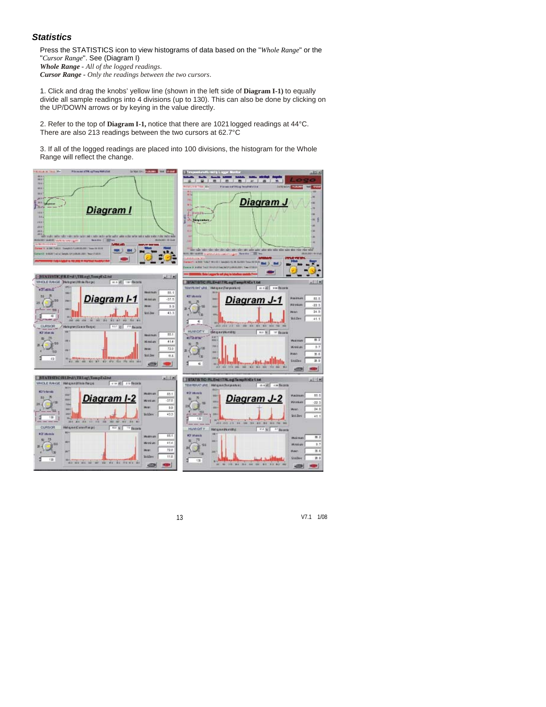### *Statistics*

Press the STATISTICS icon to view histograms of data based on the "*Whole Range*" or the "*Cursor Range*". See (Diagram I) *Whole Range - All of the logged readings*.

*Cursor Range - Only the readings between the two cursors*.

1. Click and drag the knobs' yellow line (shown in the left side of **Diagram I-1)** to equally divide all sample readings into 4 divisions (up to 130). This can also be done by clicking on the UP/DOWN arrows or by keying in the value directly.

2. Refer to the top of **Diagram I-1,** notice that there are 1021 logged readings at 44°C. There are also 213 readings between the two cursors at 62.7°C

3. If all of the logged readings are placed into 100 divisions, the histogram for the Whole Range will reflect the change.

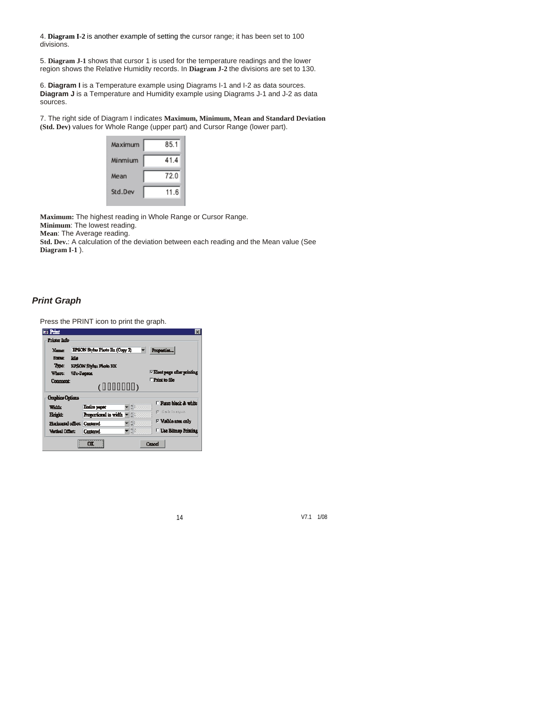4. **Diagram I-2** is another example of setting the cursor range; it has been set to 100 divisions.

5. **Diagram J-1** shows that cursor 1 is used for the temperature readings and the lower region shows the Relative Humidity records. In **Diagram J-2** the divisions are set to 130.

6. **Diagram I** is a Temperature example using Diagrams I-1 and I-2 as data sources. **Diagram J** is a Temperature and Humidity example using Diagrams J-1 and J-2 as data sources.

7. The right side of Diagram I indicates **Maximum, Minimum, Mean and Standard Deviation (Std. Dev)** values for Whole Range (upper part) and Cursor Range (lower part).



**Maximum:** The highest reading in Whole Range or Cursor Range.

**Minimum**: The lowest reading.

**Mean**: The Average reading.

**Std. Dev.**: A calculation of the deviation between each reading and the Mean value (See **Diagram I-1** ).

## *Print Graph*

Press the PRINT icon to print the graph.

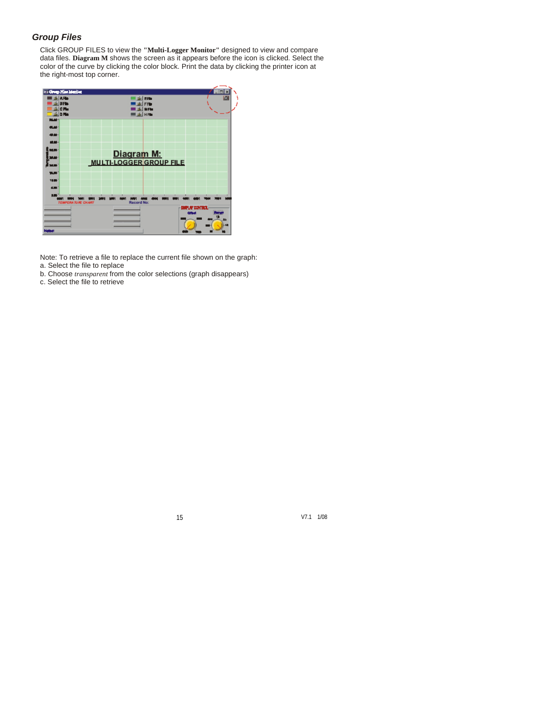### *Group Files*

Click GROUP FILES to view the **"Multi-Logger Monitor"** designed to view and compare data files. **Diagram M** shows the screen as it appears before the icon is clicked. Select the color of the curve by clicking the color block. Print the data by clicking the printer icon at the right-most top corner.



Note: To retrieve a file to replace the current file shown on the graph: a. Select the file to replace

- 
- b. Choose *transparent* from the color selections (graph disappears)
- c. Select the file to retrieve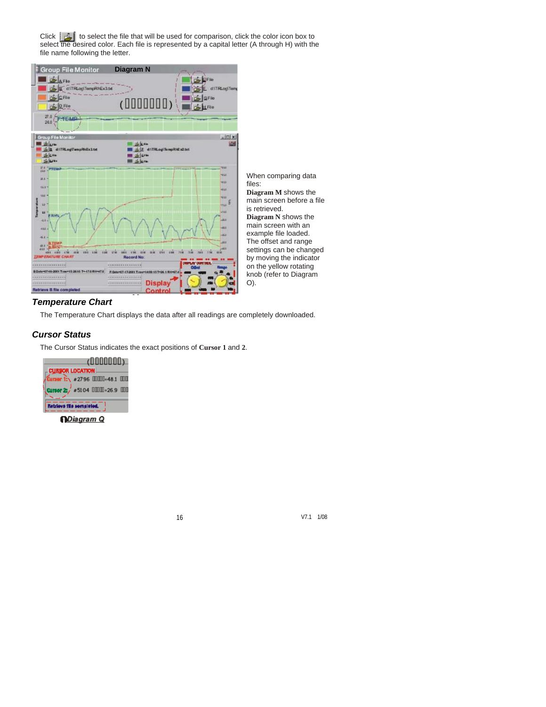Click  $\Box$  to select the file that will be used for comparison, click the color icon box to select the desired color. Each file is represented by a capital letter (A through H) with the file name following the letter.



### *Temperature Chart*

The Temperature Chart displays the data after all readings are completely downloaded.

### *Cursor Status*

The Cursor Status indicates the exact positions of **Cursor 1** and **2**.

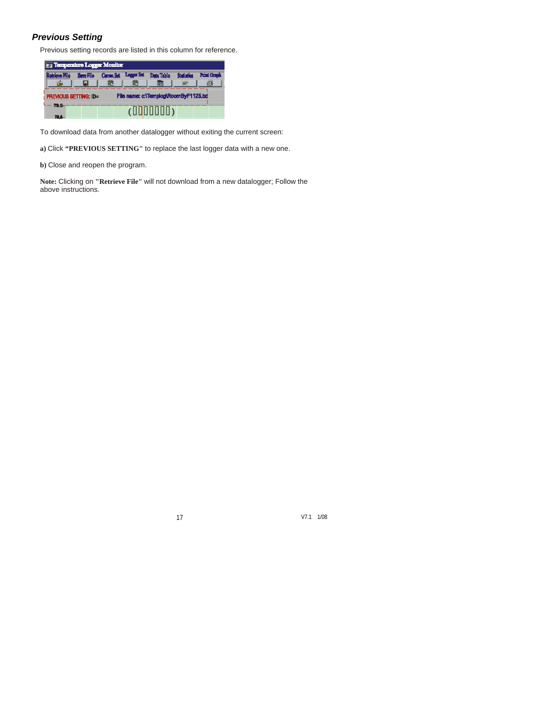## *Previous Setting*

Previous setting records are listed in this column for reference.

|        | Temperature Logger Monitor                                           |     |   |                                                       |                 |                    |  |
|--------|----------------------------------------------------------------------|-----|---|-------------------------------------------------------|-----------------|--------------------|--|
|        |                                                                      | LE. | m | Sere File Canna, Set Logger Set Data Table Statistics | da <sup>n</sup> | <b>Print Graph</b> |  |
|        | File name: c:\Templog\RoomByF1125.bd<br><b>PREVIOUS SETTING: ID=</b> |     |   |                                                       |                 |                    |  |
| $-1 -$ |                                                                      |     |   |                                                       |                 |                    |  |

To download data from another datalogger without exiting the current screen:

**a)** Click **"PREVIOUS SETTING"** to replace the last logger data with a new one.

**b)** Close and reopen the program.

**Note:** Clicking on **"Retrieve File"** will not download from a new datalogger; Follow the above instructions.

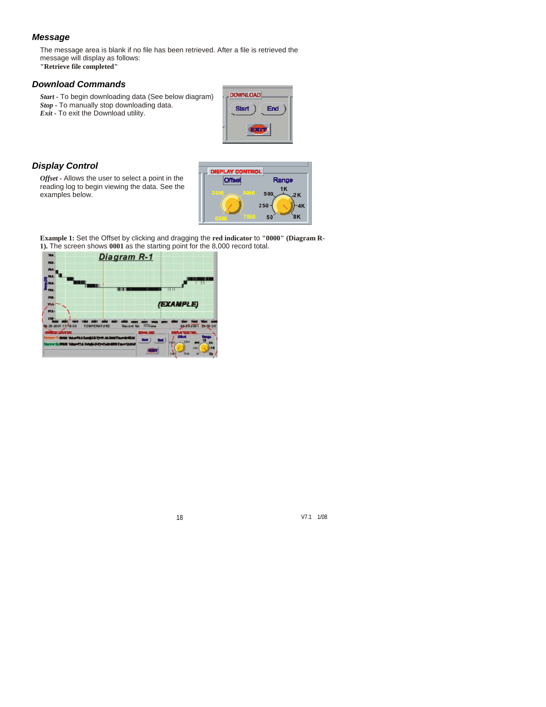#### *Message*

The message area is blank if no file has been retrieved. After a file is retrieved the message will display as follows:

**"Retrieve file completed"**

## *Download Commands*

*Start -* To begin downloading data (See below diagram) *Stop -* To manually stop downloading data.

*Exit -* To exit the Download utility.



### *Display Control*

*Offset -* Allows the user to select a point in the reading log to begin viewing the data. See the examples below.



**Example 1:** Set the Offset by clicking and dragging the **red indicator** to **"0000" (Diagram R-1).** The screen shows **0001** as the starting point for the 8,000 record total.

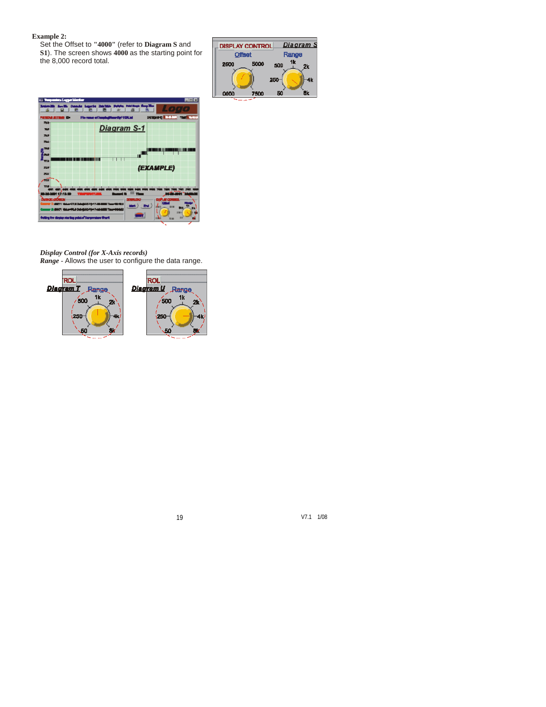#### **Example 2:**

Set the Offset to **"4000"** (refer to **Diagram S** and **S1**). The screen shows **4000** as the starting point for the 8,000 record total.

| <b>DISPLAY CONTROL</b> |      |       | <u>Diagram S</u> |  |
|------------------------|------|-------|------------------|--|
| <b>Offset</b>          |      | Range |                  |  |
| 2500                   | 5000 | 500   | 2k               |  |
|                        |      | 250   | 4k               |  |
| 0000                   | 7500 | 50    | Ĥk               |  |
|                        |      |       |                  |  |



*Display Control (for X-Axis records) Range -* Allows the user to configure the data range.

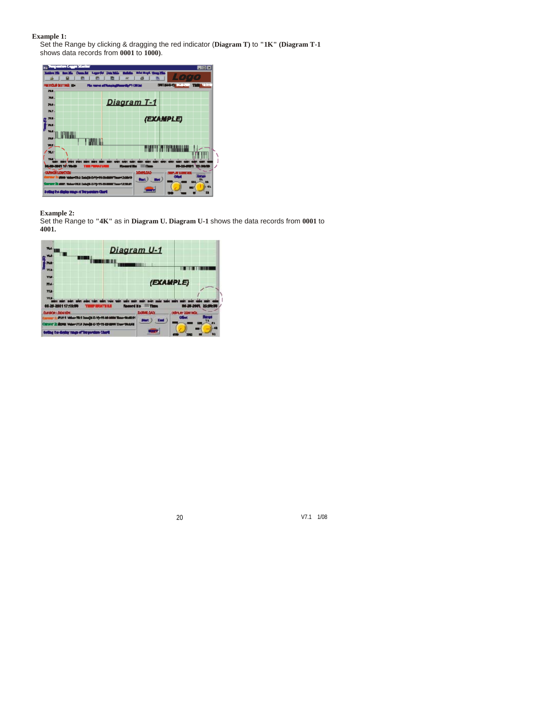#### **Example 1:**

Set the Range by clicking & dragging the red indicator (**Diagram T)** to **"1K" (Diagram T-1**  shows data records from **0001** to **1000)**.



**Example 2:** 

Set the Range to **"4K"** as in **Diagram U. Diagram U-1** shows the data records from **0001** to **4001.**

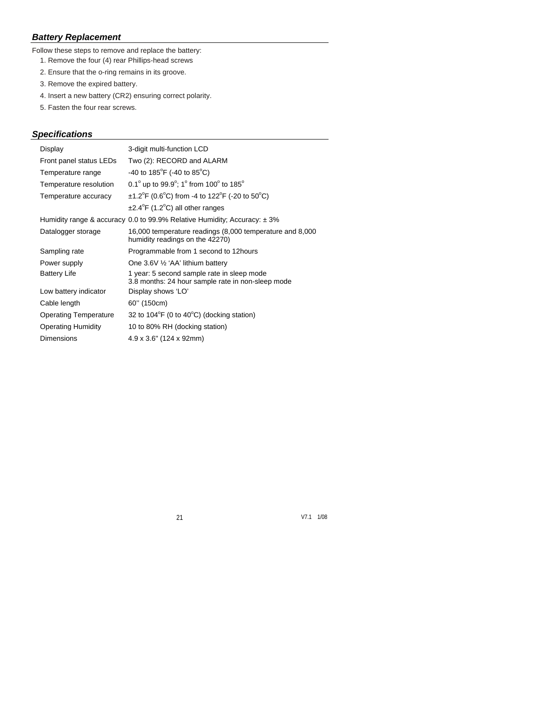# *Battery Replacement*

Follow these steps to remove and replace the battery:

- 1. Remove the four (4) rear Phillips-head screws
- 2. Ensure that the o-ring remains in its groove.
- 3. Remove the expired battery.
- 4. Insert a new battery (CR2) ensuring correct polarity.
- 5. Fasten the four rear screws.

# *Specifications*

| Display                      | 3-digit multi-function LCD                                                                      |
|------------------------------|-------------------------------------------------------------------------------------------------|
| Front panel status LEDs      | Two (2): RECORD and ALARM                                                                       |
| Temperature range            | -40 to 185 <sup>°</sup> F (-40 to 85 <sup>°</sup> C)                                            |
| Temperature resolution       | 0.1 $^{\circ}$ up to 99.9 $^{\circ}$ ; 1 $^{\circ}$ from 100 $^{\circ}$ to 185 $^{\circ}$       |
| Temperature accuracy         | $\pm$ 1.2°F (0.6°C) from -4 to 122°F (-20 to 50°C)                                              |
|                              | $\pm 2.4^{\circ}$ F (1.2 $^{\circ}$ C) all other ranges                                         |
|                              | Humidity range & accuracy 0.0 to 99.9% Relative Humidity; Accuracy: $\pm$ 3%                    |
| Datalogger storage           | 16,000 temperature readings (8,000 temperature and 8,000<br>humidity readings on the 42270)     |
| Sampling rate                | Programmable from 1 second to 12 hours                                                          |
| Power supply                 | One 3.6V $\frac{1}{2}$ 'AA' lithium battery                                                     |
| <b>Battery Life</b>          | 1 year: 5 second sample rate in sleep mode<br>3.8 months: 24 hour sample rate in non-sleep mode |
| Low battery indicator        | Display shows 'LO'                                                                              |
| Cable length                 | 60" (150cm)                                                                                     |
| <b>Operating Temperature</b> | 32 to $104^{\circ}F$ (0 to $40^{\circ}C$ ) (docking station)                                    |
| <b>Operating Humidity</b>    | 10 to 80% RH (docking station)                                                                  |
| <b>Dimensions</b>            | $4.9 \times 3.6$ " (124 x 92mm)                                                                 |